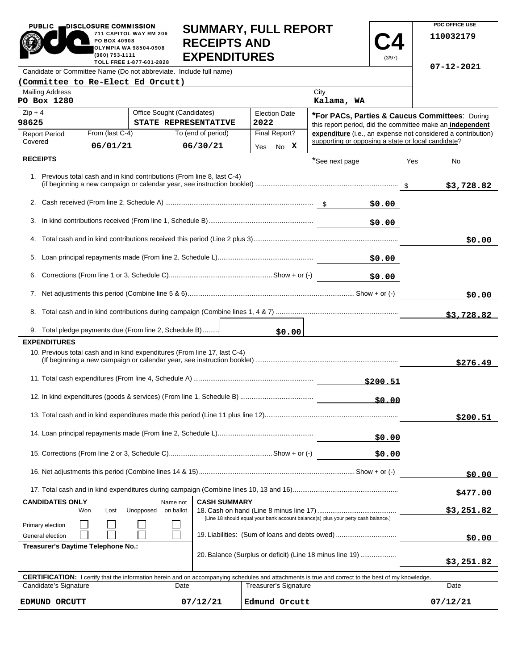| PUBLIC                                                                                                                                                                                  | DISCLOSURE COMMISSION<br>PO BOX 40908<br>(360) 753-1111 | 711 CAPITOL WAY RM 206<br>OLYMPIA WA 98504-0908<br>TOLL FREE 1-877-601-2828 | <b>SUMMARY, FULL REPORT</b><br><b>RECEIPTS AND</b><br><b>EXPENDITURES</b> |                              |                       |                                                    | (3/97)                                                                                                      |            | 110032179                                                    |
|-----------------------------------------------------------------------------------------------------------------------------------------------------------------------------------------|---------------------------------------------------------|-----------------------------------------------------------------------------|---------------------------------------------------------------------------|------------------------------|-----------------------|----------------------------------------------------|-------------------------------------------------------------------------------------------------------------|------------|--------------------------------------------------------------|
| Candidate or Committee Name (Do not abbreviate. Include full name)                                                                                                                      |                                                         |                                                                             |                                                                           |                              |                       |                                                    |                                                                                                             | 07-12-2021 |                                                              |
| (Committee to Re-Elect Ed Orcutt)                                                                                                                                                       |                                                         |                                                                             |                                                                           |                              |                       |                                                    |                                                                                                             |            |                                                              |
| <b>Mailing Address</b><br>PO Box 1280                                                                                                                                                   |                                                         |                                                                             |                                                                           |                              |                       | City<br>Kalama, WA                                 |                                                                                                             |            |                                                              |
| $Zip + 4$<br>Office Sought (Candidates)<br>98625<br>STATE REPRESENTATIVE                                                                                                                |                                                         |                                                                             |                                                                           | <b>Election Date</b><br>2022 |                       |                                                    | *For PACs, Parties & Caucus Committees: During<br>this report period, did the committee make an independent |            |                                                              |
| <b>Report Period</b>                                                                                                                                                                    | From (last C-4)                                         |                                                                             | To (end of period)                                                        |                              | Final Report?         |                                                    |                                                                                                             |            | expenditure (i.e., an expense not considered a contribution) |
| Covered                                                                                                                                                                                 | 06/01/21                                                |                                                                             | 06/30/21                                                                  |                              | Yes No X              | supporting or opposing a state or local candidate? |                                                                                                             |            |                                                              |
| <b>RECEIPTS</b>                                                                                                                                                                         |                                                         |                                                                             |                                                                           |                              |                       | *See next page                                     |                                                                                                             | Yes        | No                                                           |
|                                                                                                                                                                                         |                                                         |                                                                             | 1. Previous total cash and in kind contributions (From line 8, last C-4)  |                              |                       |                                                    |                                                                                                             |            | \$3,728.82                                                   |
|                                                                                                                                                                                         |                                                         |                                                                             |                                                                           |                              |                       |                                                    |                                                                                                             |            |                                                              |
|                                                                                                                                                                                         |                                                         |                                                                             |                                                                           |                              |                       |                                                    | \$0.00                                                                                                      |            |                                                              |
|                                                                                                                                                                                         |                                                         |                                                                             |                                                                           |                              |                       |                                                    |                                                                                                             |            | \$0.00                                                       |
|                                                                                                                                                                                         |                                                         |                                                                             |                                                                           |                              |                       |                                                    | \$0.00                                                                                                      |            |                                                              |
|                                                                                                                                                                                         | \$0.00                                                  |                                                                             |                                                                           |                              |                       |                                                    |                                                                                                             |            |                                                              |
|                                                                                                                                                                                         |                                                         |                                                                             |                                                                           |                              |                       | \$0.00                                             |                                                                                                             |            |                                                              |
|                                                                                                                                                                                         |                                                         |                                                                             |                                                                           |                              |                       |                                                    |                                                                                                             |            | \$3,728.82                                                   |
| 9. Total pledge payments due (From line 2, Schedule B)                                                                                                                                  |                                                         |                                                                             |                                                                           |                              | \$0.00                |                                                    |                                                                                                             |            |                                                              |
| <b>EXPENDITURES</b>                                                                                                                                                                     |                                                         |                                                                             |                                                                           |                              |                       |                                                    |                                                                                                             |            |                                                              |
|                                                                                                                                                                                         |                                                         |                                                                             | 10. Previous total cash and in kind expenditures (From line 17, last C-4) |                              |                       |                                                    |                                                                                                             |            | \$276.49                                                     |
| \$200.51                                                                                                                                                                                |                                                         |                                                                             |                                                                           |                              |                       |                                                    |                                                                                                             |            |                                                              |
|                                                                                                                                                                                         |                                                         |                                                                             |                                                                           |                              |                       |                                                    |                                                                                                             |            |                                                              |
|                                                                                                                                                                                         |                                                         |                                                                             |                                                                           |                              |                       |                                                    |                                                                                                             |            | \$200.51                                                     |
|                                                                                                                                                                                         |                                                         |                                                                             |                                                                           |                              |                       | \$0.00                                             |                                                                                                             |            |                                                              |
|                                                                                                                                                                                         |                                                         |                                                                             |                                                                           |                              |                       | \$0.00                                             |                                                                                                             |            |                                                              |
|                                                                                                                                                                                         |                                                         |                                                                             |                                                                           |                              |                       |                                                    | \$0.00                                                                                                      |            |                                                              |
|                                                                                                                                                                                         |                                                         |                                                                             |                                                                           |                              |                       |                                                    |                                                                                                             |            | \$477.00                                                     |
| <b>CANDIDATES ONLY</b><br><b>CASH SUMMARY</b><br>Name not<br>Lost<br>Unopposed<br>on ballot<br>Won<br>[Line 18 should equal your bank account balance(s) plus your petty cash balance.] |                                                         |                                                                             |                                                                           |                              |                       | \$3,251.82                                         |                                                                                                             |            |                                                              |
| Primary election<br>19. Liabilities: (Sum of loans and debts owed)<br>General election                                                                                                  |                                                         |                                                                             |                                                                           |                              |                       | \$0.00                                             |                                                                                                             |            |                                                              |
| Treasurer's Daytime Telephone No.:<br>20. Balance (Surplus or deficit) (Line 18 minus line 19)                                                                                          |                                                         |                                                                             |                                                                           |                              |                       |                                                    | \$3,251.82                                                                                                  |            |                                                              |
| <b>CERTIFICATION:</b> I certify that the information herein and on accompanying schedules and attachments is true and correct to the best of my knowledge.                              |                                                         |                                                                             |                                                                           |                              |                       |                                                    |                                                                                                             |            |                                                              |
| Candidate's Signature                                                                                                                                                                   |                                                         |                                                                             | Date                                                                      |                              | Treasurer's Signature |                                                    |                                                                                                             |            | Date                                                         |

**EDMUND ORCUTT 07/12/21 Edmund Orcutt 07/12/21**

**SUMMARY, FULL REPORT** 

**PDC OFFICE USE** 

 $07/12/21$ 

PUBLIC **DISCLOSURE COMMISSION**